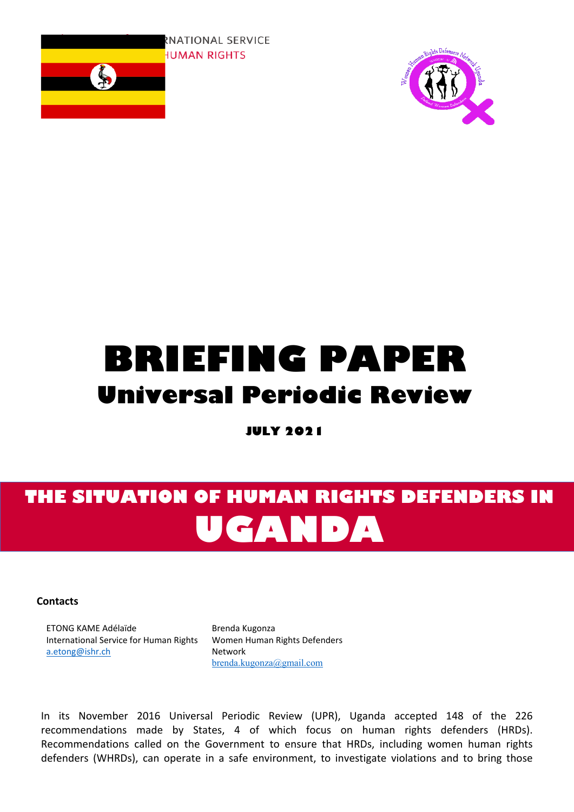



# **BRIEFING PAPER Universal Periodic Review**

**JULY 2021**

## **THE SITUATION OF HUMAN RIGHTS DEFENDERS IN UGANDA**

**Contacts**

ETONG KAME Adélaïde International Service for Human Rights [a.etong@ishr.ch](mailto:a.etong@ishr.ch)

Brenda Kugonza Women Human Rights Defenders Network [brenda.kugonza@gmail.com](mailto:brenda.kugonza@gmail.com)

In its November 2016 Universal Periodic Review (UPR), Uganda accepted 148 of the 226 recommendations made by States, 4 of which focus on human rights defenders (HRDs). Recommendations called on the Government to ensure that HRDs, including women human rights defenders (WHRDs), can operate in <sup>a</sup> safe environment, to investigate violations and to bring those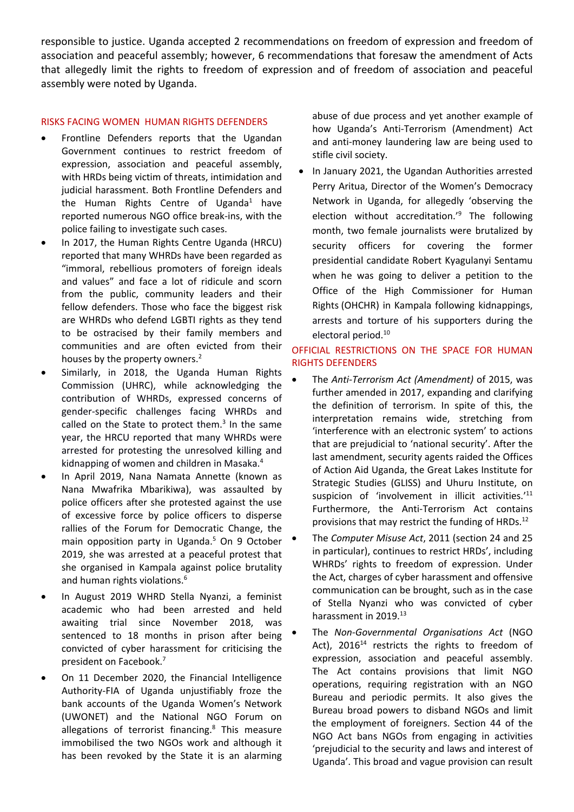responsible to justice. Uganda accepted 2 recommendations on freedom of expression and freedom of association and peaceful assembly; however, 6 recommendations that foresaw the amendment of Acts that allegedly limit the rights to freedom of expression and of freedom of association and peaceful assembly were noted by Uganda.

## RISKS FACING WOMEN HUMAN RIGHTS DEFENDERS

- $\bullet$  Frontline Defenders reports that the Ugandan Government continues to restrict freedom of expression, association and peaceful assembly, with HRDs being victim of threats, intimidation and judicial harassment. Both Frontline Defenders and the Human Rights Centre of Uganda<sup>1</sup> have reported numerous NGO office break-ins, with the police failing to investigate such cases.
- . In 2017, the Human Rights Centre Uganda (HRCU) reported that many WHRDs have been regarded as "immoral, rebellious promoters of foreign ideals and values" and face <sup>a</sup> lot of ridicule and scorn from the public, community leaders and their fellow defenders. Those who face the biggest risk are WHRDs who defend LGBTI rights as they tend to be ostracised by their family members and communities and are often evicted from their houses by the property owners.<sup>2</sup>
- . Similarly, in 2018, the Uganda Human Rights Commission (UHRC), while acknowledging the contribution of WHRDs, expressed concerns of gender-specific challenges facing WHRDs and called on the State to protect them.<sup>3</sup> In the same year, the HRCU reported that many WHRDs were arrested for protesting the unresolved killing and kidnapping of women and children in Masaka. 4
- . In April 2019, Nana Namata Annette (known as Nana Mwafrika Mbarikiwa), was assaulted by police officers after she protested against the use of excessive force by police officers to disperse rallies of the Forum for Democratic Change, the main opposition party in Uganda. 5 On 9 October 2019, she was arrested at <sup>a</sup> peaceful protest that she organised in Kampala against police brutality and human rights violations. $^6$
- . In August 2019 WHRD Stella Nyanzi, <sup>a</sup> feminist academic who had been arrested and held awaiting trial since November 2018, was sentenced to 18 months in prison after being convicted of cyber harassment for criticising the president on Facebook. 7
- . On 11 December 2020, the Financial Intelligence Authority-FIA of Uganda unjustifiably froze the bank accounts of the Uganda Women'<sup>s</sup> Network (UWONET) and the National NGO Forum on allegations of terrorist financing.<sup>8</sup> This measure immobilised the two NGOs work and although it has been revoked by the State it is an alarming

abuse of due process and yet another example of how Uganda'<sup>s</sup> Anti-Terrorism (Amendment) Act and anti-money laundering law are being used to stifle civil society.

e In January 2021, the Ugandan Authorities arrested Perry Aritua, Director of the Women'<sup>s</sup> Democracy Network in Uganda, for allegedly 'observing the election without accreditation.' 9 The following month, two female journalists were brutalized by security officers for covering the former presidential candidate Robert Kyagulanyi Sentamu when he was going to deliver <sup>a</sup> petition to the Office of the High Commissioner for Human Rights (OHCHR) in Kampala following kidnappings, arrests and torture of his supporters during the electoral period.<sup>10</sup>

## OFFICIAL RESTRICTIONS ON THE SPACE FOR HUMAN RIGHTS DEFENDERS

- c The *Anti-Terrorism Act (Amendment)* of 2015, was further amended in 2017, expanding and clarifying the definition of terrorism. In spite of this, the interpretation remains wide, stretching from 'interference with an electronic system' to actions that are prejudicial to 'national security'. After the last amendment, security agents raided the Offices of Action Aid Uganda, the Great Lakes Institute for Strategic Studies (GLISS) and Uhuru Institute, on suspicion of 'involvement in illicit activities.'<sup>11</sup> Furthermore, the Anti-Terrorism Act contains provisions that may restrict the funding of HRDs.<sup>12</sup>
- c The *Computer Misuse Act*, 2011 (section 24 and 25 in particular), continues to restrict HRDs', including WHRDs' rights to freedom of expression. Under the Act, charges of cyber harassment and offensive communication can be brought, such as in the case of Stella Nyanzi who was convicted of cyber harassment in 2019.<sup>13</sup>
- e The *Non-Governmental Organisations Act* (NGO Act), 2016<sup>14</sup> restricts the rights to freedom of expression, association and peaceful assembly. The Act contains provisions that limit NGO operations, requiring registration with an NGO Bureau and periodic permits. It also gives the Bureau broad powers to disband NGOs and limit the employment of foreigners. Section 44 of the NGO Act bans NGOs from engaging in activities 'prejudicial to the security and laws and interest of Uganda'. This broad and vague provision can result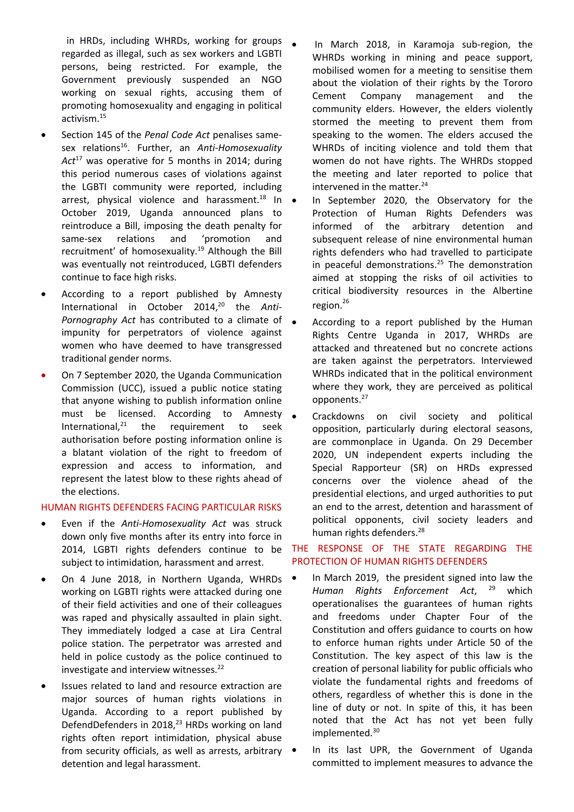in HRDs, including WHRDs, working for groups regarded as illegal, such as sex workers and LGBTI persons, being restricted. For example, the Government previously suspended an NGO working on sexual rights, accusing them of promoting homosexuality and engaging in political activism.<sup>15</sup>

- . Section 145 of the *Penal Code Act* penalises samesex relations 16 . Further, an *Anti-Homosexuality Act* 17 was operative for 5 months in 2014; during this period numerous cases of violations against the LGBTI community were reported, including arrest, physical violence and harassment.<sup>18</sup> In . October 2019, Uganda announced plans to reintroduce <sup>a</sup> Bill, imposing the death penalty for same-sex relations and 'promotion and recruitment' of homosexuality.<sup>19</sup> Although the Bill was eventually not reintroduced, LGBTI defenders continue to face high risks.
- $\bullet$  According to <sup>a</sup> report published by Amnesty International in October 2014, 20 the *Anti-Pornography Act* has contributed to <sup>a</sup> climate of impunity for perpetrators of violence against women who have deemed to have transgressed traditional gender norms.
- 0 On 7 September 2020, the Uganda Communication Commission (UCC), issued <sup>a</sup> public notice stating that anyone wishing to publish information online must be licensed. According to Amnesty International, 21 the requirement to seek authorisation before posting information online is <sup>a</sup> blatant violation of the right to freedom of expression and access to information, and represent the latest blow to these rights ahead of the elections.

## HUMAN RIGHTS DEFENDERS FACING PARTICULAR RISKS

- $\bullet$  Even if the *Anti-Homosexuality Act* was struck down only five months after its entry into force in 2014, LGBTI rights defenders continue to be subject to intimidation, harassment and arrest.
- $\bullet$  On 4 June 2018, in Northern Uganda, WHRDs working on LGBTI rights were attacked during one of their field activities and one of their colleagues was raped and physically assaulted in plain sight. They immediately lodged <sup>a</sup> case at Lira Central police station. The perpetrator was arrested and held in police custody as the police continued to investigate and interview witnesses.<sup>22</sup>
- $\bullet$  Issues related to land and resource extraction are major sources of human rights violations in Uganda. According to <sup>a</sup> report published by DefendDefenders in 2018,<sup>23</sup> HRDs working on land rights often report intimidation, physical abuse from security officials, as well as arrests, arbitrary detention and legal harassment.
- In March 2018, in Karamoja sub-region, the WHRDs working in mining and peace support, mobilised women for <sup>a</sup> meeting to sensitise them about the violation of their rights by the Tororo Cement Company management and the community elders. However, the elders violently stormed the meeting to prevent them from speaking to the women. The elders accused the WHRDs of inciting violence and told them that women do not have rights. The WHRDs stopped the meeting and later reported to police that intervened in the matter. 24
- In September 2020, the Observatory for the Protection of Human Rights Defenders was informed of the arbitrary detention and subsequent release of nine environmental human rights defenders who had travelled to participate in peaceful demonstrations. 25 The demonstration aimed at stopping the risks of oil activities to critical biodiversity resources in the Albertine region.<sup>26</sup>
- According to <sup>a</sup> report published by the Human Rights Centre Uganda in 2017, WHRDs are attacked and threatened but no concrete actions are taken against the perpetrators. Interviewed WHRDs indicated that in the political environment where they work, they are perceived as political opponents. 27
- Crackdowns on civil society and political opposition, particularly during electoral seasons, are commonplace in Uganda. On 29 December 2020, UN independent experts including the Special Rapporteur (SR) on HRDs expressed concerns over the violence ahead of the presidential elections, and urged authorities to put an end to the arrest, detention and harassment of political opponents, civil society leaders and human rights defenders.<sup>28</sup>

## THE RESPONSE OF THE STATE REGARDING THE PROTECTION OF HUMAN RIGHTS DEFENDERS

- e In March 2019, the president signed into law the *Human Rights Enforcement Act*, 29 which operationalises the guarantees of human rights and freedoms under Chapter Four of the Constitution and offers guidance to courts on how to enforce human rights under Article 50 of the Constitution. The key aspect of this law is the creation of personal liability for public officials who violate the fundamental rights and freedoms of others, regardless of whether this is done in the line of duty or not. In spite of this, it has been noted that the Act has not yet been fully implemented. 30
- In its last UPR, the Government of Uganda committed to implement measures to advance the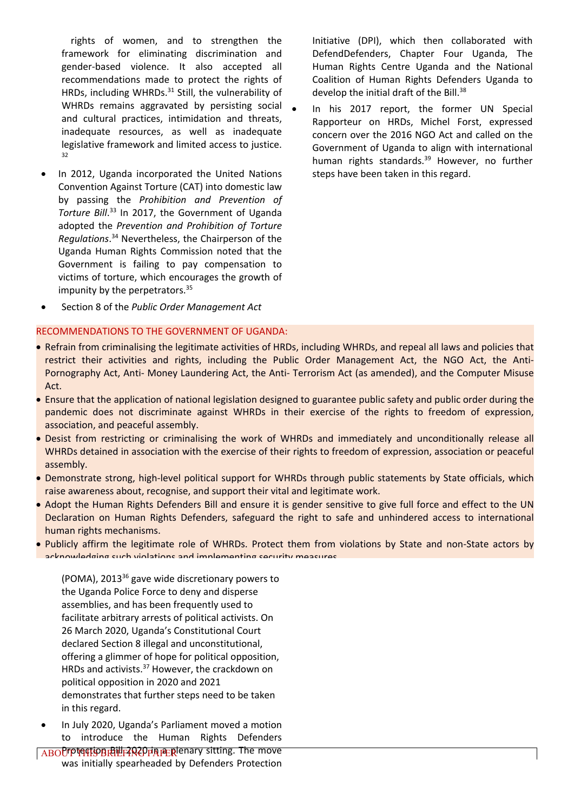rights of women, and to strengthen the framework for eliminating discrimination and gender-based violence. It also accepted all recommendations made to protect the rights of HRDs, including WHRDs.<sup>31</sup> Still, the vulnerability of WHRDs remains aggravated by persisting social and cultural practices, intimidation and threats, inadequate resources, as well as inadequate legislative framework and limited access to justice. 32

. In 2012, Uganda incorporated the United Nations Convention Against Torture (CAT) into domestic law by passing the *Prohibition and Prevention of Torture Bill*. 33 In 2017, the Government of Uganda adopted the *Prevention and Prohibition of Torture* Regulations.<sup>34</sup> Nevertheless, the Chairperson of the Uganda Human Rights Commission noted that the Government is failing to pay compensation to victims of torture, which encourages the growth of impunity by the perpetrators.<sup>35</sup>

Initiative (DPI), which then collaborated with DefendDefenders, Chapter Four Uganda, The Human Rights Centre Uganda and the National Coalition of Human Rights Defenders Uganda to develop the initial draft of the Bill.<sup>38</sup>

 In his 2017 report, the former UN Special Rapporteur on HRDs, Michel Forst, expressed concern over the 2016 NGO Act and called on the Government of Uganda to align with international human rights standards. 39 However, no further steps have been taken in this regard.

. Section 8 of the *Public Order Management Act*

#### RECOMMENDATIONS TO THE GOVERNMENT OF UGANDA:

 Refrain from criminalising the legitimate activities of HRDs, including WHRDs, and repeal all laws and policies that restrict their activities and rights, including the Public Order Management Act, the NGO Act, the Anti-Pornography Act, Anti- Money Laundering Act, the Anti- Terrorism Act (as amended), and the Computer Misuse Act.

c

- **Ensure that the application of national legislation designed to guarantee public safety and public order during the** pandemic does not discriminate against WHRDs in their exercise of the rights to freedom of expression, association, and peaceful assembly.
- Desist from restricting or criminalising the work of WHRDs and immediately and unconditionally release all WHRDs detained in association with the exercise of their rights to freedom of expression, association or peaceful assembly.
- Demonstrate strong, high-level political support for WHRDs through public statements by State officials, which raise awareness about, recognise, and support their vital and legitimate work.
- Adopt the Human Rights Defenders Bill and ensure it is gender sensitive to give full force and effect to the UN Declaration on Human Rights Defenders, safeguard the right to safe and unhindered access to international human rights mechanisms.
- Publicly affirm the legitimate role of WHRDs. Protect them from violations by State and non-State actors by acknowledging such violations and implementing security measures.

(POMA), 2013<sup>36</sup> gave wide discretionary powers to the Uganda Police Force to deny and disperse assemblies, and has been frequently used to facilitate arbitrary arrests of political activists. On 26 March 2020, Uganda'<sup>s</sup> Constitutional Court declared Section 8 illegal and unconstitutional, offering <sup>a</sup> glimmer of hope for political opposition, HRDs and activists.<sup>37</sup> However, the crackdown on political opposition in 2020 and 2021 demonstrates that further steps need to be taken in this regard.

. In July 2020, Uganda'<sup>s</sup> Parliament moved <sup>a</sup> motion to introduce the Human Rights Defenders

ABOUT THE RIGHT AND THE RIGHTS Sitting. The move was initially spearheaded by Defenders Protection